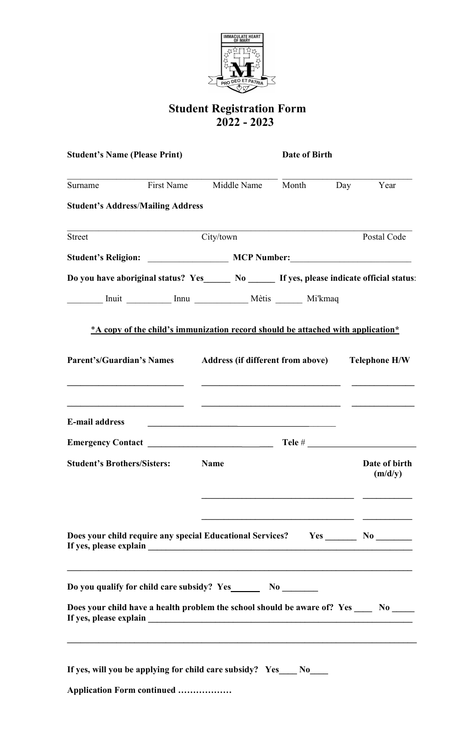

## Student Registration Form 2022 - 2023

| <b>Student's Name (Please Print)</b> |                                                                                                                                                           |                                                                                                                                                                    | Date of Birth |                          |  |
|--------------------------------------|-----------------------------------------------------------------------------------------------------------------------------------------------------------|--------------------------------------------------------------------------------------------------------------------------------------------------------------------|---------------|--------------------------|--|
| Surname                              | First Name Middle Name                                                                                                                                    |                                                                                                                                                                    | Month Day     | Year                     |  |
|                                      | <b>Student's Address/Mailing Address</b>                                                                                                                  |                                                                                                                                                                    |               |                          |  |
| Street                               |                                                                                                                                                           | City/town                                                                                                                                                          |               | Postal Code              |  |
|                                      |                                                                                                                                                           |                                                                                                                                                                    |               |                          |  |
|                                      |                                                                                                                                                           | Do you have aboriginal status? Yes______ No ______ If yes, please indicate official status:                                                                        |               |                          |  |
|                                      |                                                                                                                                                           | Mètis Mi'kmaq                                                                                                                                                      |               |                          |  |
|                                      |                                                                                                                                                           | *A copy of the child's immunization record should be attached with application*                                                                                    |               |                          |  |
|                                      | <b>Parent's/Guardian's Names</b><br><u> 1989 - Johann Barbara, martin amerikan basar dan berasal dalam basar dalam basar dalam basar dalam basar dala</u> | <b>Address (if different from above)</b><br><u> Listen van de staat de verslaan van de verslaan van de verslaan van de verslaan van de verslaan van de verslaa</u> |               | <b>Telephone H/W</b>     |  |
| <b>E-mail address</b>                |                                                                                                                                                           | <u> 1989 - Johann Barn, mars eta bainar eta bainar eta baina eta baina eta baina eta baina eta baina eta baina e</u>                                               |               |                          |  |
|                                      |                                                                                                                                                           |                                                                                                                                                                    |               |                          |  |
|                                      | <b>Student's Brothers/Sisters:</b>                                                                                                                        | <b>Name</b>                                                                                                                                                        |               | Date of birth<br>(m/d/y) |  |
|                                      |                                                                                                                                                           | Does your child require any special Educational Services? Yes ________ No _______                                                                                  |               |                          |  |
|                                      |                                                                                                                                                           | ,我们也不会有什么。""我们的人,我们也不会有什么?""我们的人,我们也不会有什么?""我们的人,我们也不会有什么?""我们的人,我们也不会有什么?""我们的人                                                                                   |               |                          |  |
|                                      |                                                                                                                                                           | Does your child have a health problem the school should be aware of? Yes _____ No _____                                                                            |               |                          |  |
|                                      |                                                                                                                                                           | ,我们也不会有什么。""我们的人,我们也不会有什么?""我们的人,我们也不会有什么?""我们的人,我们也不会有什么?""我们的人,我们也不会有什么?""我们的人<br>If yes, will you be applying for child care subsidy? Yes___ No___              |               |                          |  |
|                                      | Application Form continued                                                                                                                                |                                                                                                                                                                    |               |                          |  |